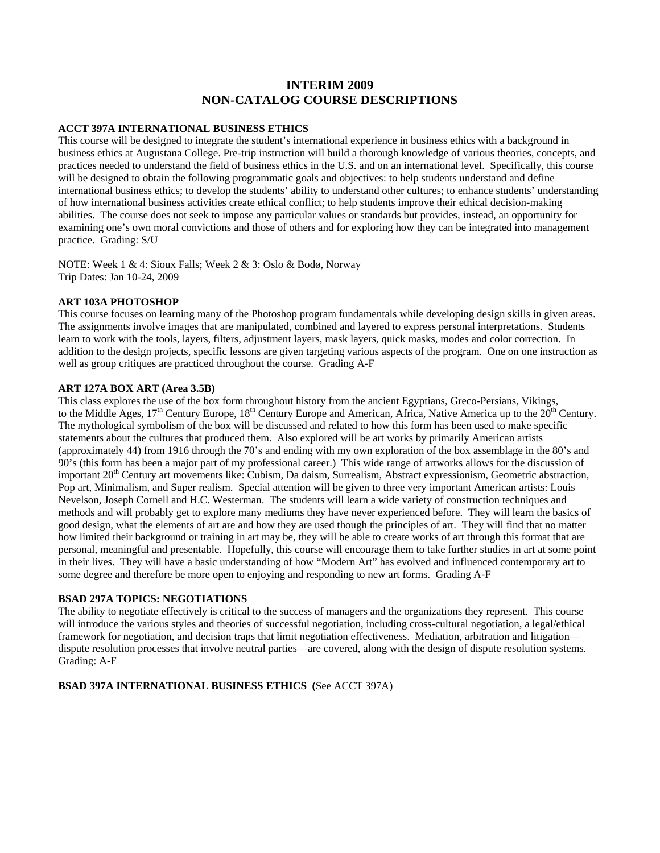# **INTERIM 2009 NON-CATALOG COURSE DESCRIPTIONS**

#### **ACCT 397A INTERNATIONAL BUSINESS ETHICS**

This course will be designed to integrate the student's international experience in business ethics with a background in business ethics at Augustana College. Pre-trip instruction will build a thorough knowledge of various theories, concepts, and practices needed to understand the field of business ethics in the U.S. and on an international level. Specifically, this course will be designed to obtain the following programmatic goals and objectives: to help students understand and define international business ethics; to develop the students' ability to understand other cultures; to enhance students' understanding of how international business activities create ethical conflict; to help students improve their ethical decision-making abilities. The course does not seek to impose any particular values or standards but provides, instead, an opportunity for examining one's own moral convictions and those of others and for exploring how they can be integrated into management practice. Grading: S/U

NOTE: Week 1 & 4: Sioux Falls; Week 2 & 3: Oslo & Bodø, Norway Trip Dates: Jan 10-24, 2009

## **ART 103A PHOTOSHOP**

This course focuses on learning many of the Photoshop program fundamentals while developing design skills in given areas. The assignments involve images that are manipulated, combined and layered to express personal interpretations. Students learn to work with the tools, layers, filters, adjustment layers, mask layers, quick masks, modes and color correction. In addition to the design projects, specific lessons are given targeting various aspects of the program. One on one instruction as well as group critiques are practiced throughout the course. Grading A-F

## **ART 127A BOX ART (Area 3.5B)**

This class explores the use of the box form throughout history from the ancient Egyptians, Greco-Persians, Vikings, to the Middle Ages,  $17<sup>th</sup>$  Century Europe,  $18<sup>th</sup>$  Century Europe and American, Africa, Native America up to the  $20<sup>th</sup>$  Century. The mythological symbolism of the box will be discussed and related to how this form has been used to make specific statements about the cultures that produced them. Also explored will be art works by primarily American artists (approximately 44) from 1916 through the 70's and ending with my own exploration of the box assemblage in the 80's and 90's (this form has been a major part of my professional career.) This wide range of artworks allows for the discussion of important 20<sup>th</sup> Century art movements like: Cubism, Da daism, Surrealism, Abstract expressionism, Geometric abstraction, Pop art, Minimalism, and Super realism. Special attention will be given to three very important American artists: Louis Nevelson, Joseph Cornell and H.C. Westerman. The students will learn a wide variety of construction techniques and methods and will probably get to explore many mediums they have never experienced before. They will learn the basics of good design, what the elements of art are and how they are used though the principles of art. They will find that no matter how limited their background or training in art may be, they will be able to create works of art through this format that are personal, meaningful and presentable. Hopefully, this course will encourage them to take further studies in art at some point in their lives. They will have a basic understanding of how "Modern Art" has evolved and influenced contemporary art to some degree and therefore be more open to enjoying and responding to new art forms. Grading A-F

## **BSAD 297A TOPICS: NEGOTIATIONS**

The ability to negotiate effectively is critical to the success of managers and the organizations they represent. This course will introduce the various styles and theories of successful negotiation, including cross-cultural negotiation, a legal/ethical framework for negotiation, and decision traps that limit negotiation effectiveness. Mediation, arbitration and litigation dispute resolution processes that involve neutral parties—are covered, along with the design of dispute resolution systems. Grading: A-F

## **BSAD 397A INTERNATIONAL BUSINESS ETHICS (**See ACCT 397A)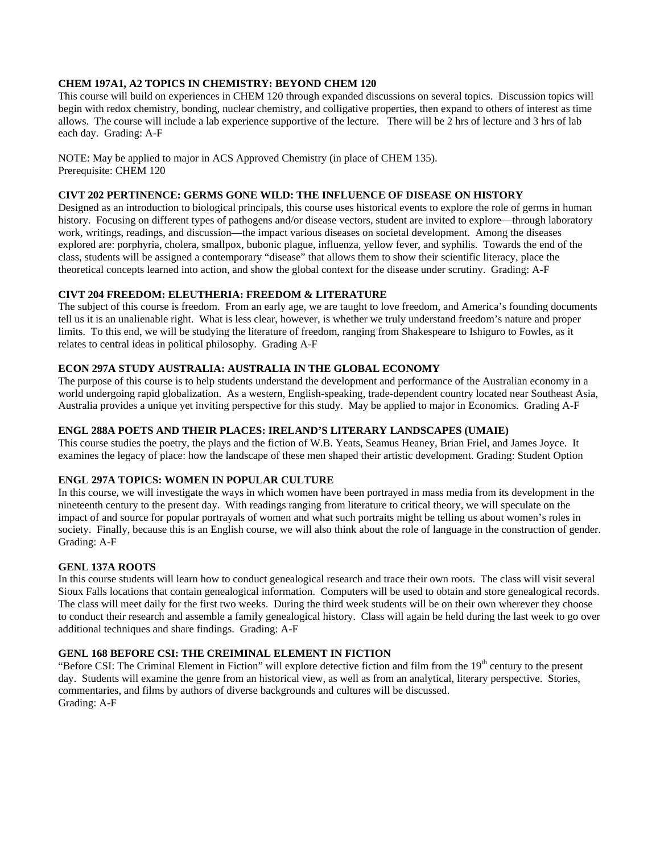# **CHEM 197A1, A2 TOPICS IN CHEMISTRY: BEYOND CHEM 120**

This course will build on experiences in CHEM 120 through expanded discussions on several topics. Discussion topics will begin with redox chemistry, bonding, nuclear chemistry, and colligative properties, then expand to others of interest as time allows. The course will include a lab experience supportive of the lecture. There will be 2 hrs of lecture and 3 hrs of lab each day. Grading: A-F

NOTE: May be applied to major in ACS Approved Chemistry (in place of CHEM 135). Prerequisite: CHEM 120

# **CIVT 202 PERTINENCE: GERMS GONE WILD: THE INFLUENCE OF DISEASE ON HISTORY**

Designed as an introduction to biological principals, this course uses historical events to explore the role of germs in human history. Focusing on different types of pathogens and/or disease vectors, student are invited to explore—through laboratory work, writings, readings, and discussion—the impact various diseases on societal development. Among the diseases explored are: porphyria, cholera, smallpox, bubonic plague, influenza, yellow fever, and syphilis. Towards the end of the class, students will be assigned a contemporary "disease" that allows them to show their scientific literacy, place the theoretical concepts learned into action, and show the global context for the disease under scrutiny. Grading: A-F

#### **CIVT 204 FREEDOM: ELEUTHERIA: FREEDOM & LITERATURE**

The subject of this course is freedom. From an early age, we are taught to love freedom, and America's founding documents tell us it is an unalienable right. What is less clear, however, is whether we truly understand freedom's nature and proper limits. To this end, we will be studying the literature of freedom, ranging from Shakespeare to Ishiguro to Fowles, as it relates to central ideas in political philosophy. Grading A-F

#### **ECON 297A STUDY AUSTRALIA: AUSTRALIA IN THE GLOBAL ECONOMY**

The purpose of this course is to help students understand the development and performance of the Australian economy in a world undergoing rapid globalization. As a western, English-speaking, trade-dependent country located near Southeast Asia, Australia provides a unique yet inviting perspective for this study. May be applied to major in Economics. Grading A-F

#### **ENGL 288A POETS AND THEIR PLACES: IRELAND'S LITERARY LANDSCAPES (UMAIE)**

This course studies the poetry, the plays and the fiction of W.B. Yeats, Seamus Heaney, Brian Friel, and James Joyce. It examines the legacy of place: how the landscape of these men shaped their artistic development. Grading: Student Option

## **ENGL 297A TOPICS: WOMEN IN POPULAR CULTURE**

In this course, we will investigate the ways in which women have been portrayed in mass media from its development in the nineteenth century to the present day. With readings ranging from literature to critical theory, we will speculate on the impact of and source for popular portrayals of women and what such portraits might be telling us about women's roles in society. Finally, because this is an English course, we will also think about the role of language in the construction of gender. Grading: A-F

## **GENL 137A ROOTS**

In this course students will learn how to conduct genealogical research and trace their own roots. The class will visit several Sioux Falls locations that contain genealogical information. Computers will be used to obtain and store genealogical records. The class will meet daily for the first two weeks. During the third week students will be on their own wherever they choose to conduct their research and assemble a family genealogical history. Class will again be held during the last week to go over additional techniques and share findings. Grading: A-F

## **GENL 168 BEFORE CSI: THE CREIMINAL ELEMENT IN FICTION**

"Before CSI: The Criminal Element in Fiction" will explore detective fiction and film from the 19<sup>th</sup> century to the present day. Students will examine the genre from an historical view, as well as from an analytical, literary perspective. Stories, commentaries, and films by authors of diverse backgrounds and cultures will be discussed. Grading: A-F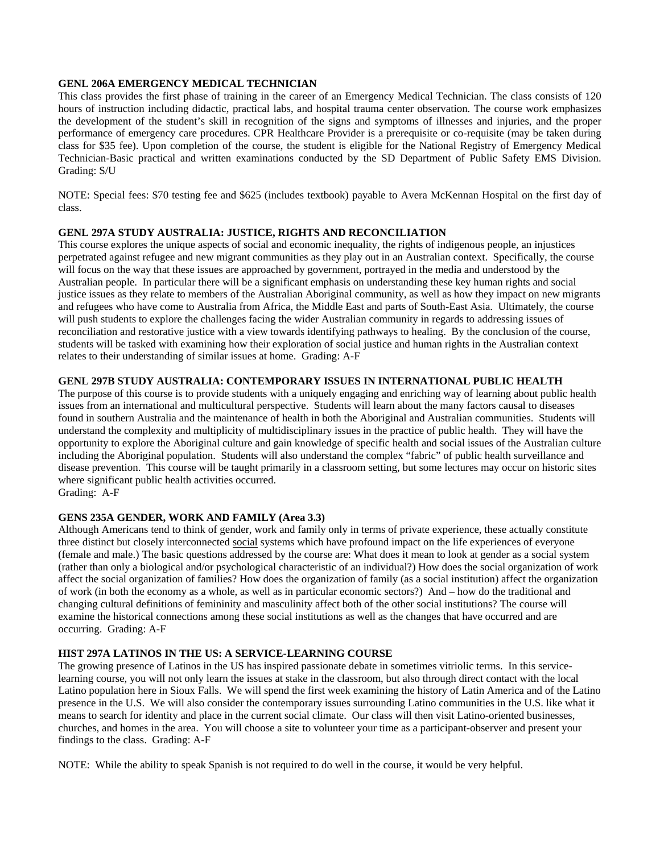#### **GENL 206A EMERGENCY MEDICAL TECHNICIAN**

This class provides the first phase of training in the career of an Emergency Medical Technician. The class consists of 120 hours of instruction including didactic, practical labs, and hospital trauma center observation. The course work emphasizes the development of the student's skill in recognition of the signs and symptoms of illnesses and injuries, and the proper performance of emergency care procedures. CPR Healthcare Provider is a prerequisite or co-requisite (may be taken during class for \$35 fee). Upon completion of the course, the student is eligible for the National Registry of Emergency Medical Technician-Basic practical and written examinations conducted by the SD Department of Public Safety EMS Division. Grading: S/U

NOTE: Special fees: \$70 testing fee and \$625 (includes textbook) payable to Avera McKennan Hospital on the first day of class.

#### **GENL 297A STUDY AUSTRALIA: JUSTICE, RIGHTS AND RECONCILIATION**

This course explores the unique aspects of social and economic inequality, the rights of indigenous people, an injustices perpetrated against refugee and new migrant communities as they play out in an Australian context. Specifically, the course will focus on the way that these issues are approached by government, portrayed in the media and understood by the Australian people. In particular there will be a significant emphasis on understanding these key human rights and social justice issues as they relate to members of the Australian Aboriginal community, as well as how they impact on new migrants and refugees who have come to Australia from Africa, the Middle East and parts of South-East Asia. Ultimately, the course will push students to explore the challenges facing the wider Australian community in regards to addressing issues of reconciliation and restorative justice with a view towards identifying pathways to healing. By the conclusion of the course, students will be tasked with examining how their exploration of social justice and human rights in the Australian context relates to their understanding of similar issues at home. Grading: A-F

#### **GENL 297B STUDY AUSTRALIA: CONTEMPORARY ISSUES IN INTERNATIONAL PUBLIC HEALTH**

The purpose of this course is to provide students with a uniquely engaging and enriching way of learning about public health issues from an international and multicultural perspective. Students will learn about the many factors causal to diseases found in southern Australia and the maintenance of health in both the Aboriginal and Australian communities. Students will understand the complexity and multiplicity of multidisciplinary issues in the practice of public health. They will have the opportunity to explore the Aboriginal culture and gain knowledge of specific health and social issues of the Australian culture including the Aboriginal population. Students will also understand the complex "fabric" of public health surveillance and disease prevention. This course will be taught primarily in a classroom setting, but some lectures may occur on historic sites where significant public health activities occurred. Grading: A-F

#### **GENS 235A GENDER, WORK AND FAMILY (Area 3.3)**

Although Americans tend to think of gender, work and family only in terms of private experience, these actually constitute three distinct but closely interconnected social systems which have profound impact on the life experiences of everyone (female and male.) The basic questions addressed by the course are: What does it mean to look at gender as a social system (rather than only a biological and/or psychological characteristic of an individual?) How does the social organization of work affect the social organization of families? How does the organization of family (as a social institution) affect the organization of work (in both the economy as a whole, as well as in particular economic sectors?) And – how do the traditional and changing cultural definitions of femininity and masculinity affect both of the other social institutions? The course will examine the historical connections among these social institutions as well as the changes that have occurred and are occurring. Grading: A-F

#### **HIST 297A LATINOS IN THE US: A SERVICE-LEARNING COURSE**

The growing presence of Latinos in the US has inspired passionate debate in sometimes vitriolic terms. In this servicelearning course, you will not only learn the issues at stake in the classroom, but also through direct contact with the local Latino population here in Sioux Falls. We will spend the first week examining the history of Latin America and of the Latino presence in the U.S. We will also consider the contemporary issues surrounding Latino communities in the U.S. like what it means to search for identity and place in the current social climate. Our class will then visit Latino-oriented businesses, churches, and homes in the area. You will choose a site to volunteer your time as a participant-observer and present your findings to the class. Grading: A-F

NOTE: While the ability to speak Spanish is not required to do well in the course, it would be very helpful.